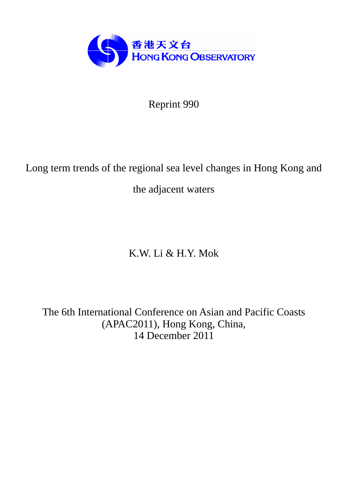

Reprint 990

# Long term trends of the regional sea level changes in Hong Kong and

the adjacent waters

# K.W. Li & H.Y. Mok

The 6th International Conference on Asian and Pacific Coasts (APAC2011), Hong Kong, China, 14 December 2011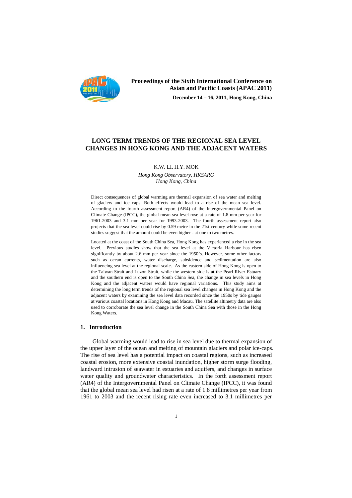

# **Proceedings of the Sixth International Conference on Asian and Pacific Coasts (APAC 2011) December 14 – 16, 2011, Hong Kong, China**

# **LONG TERM TRENDS OF THE REGIONAL SEA LEVEL CHANGES IN HONG KONG AND THE ADJACENT WATERS**

K.W. LI, H.Y. MOK

*Hong Kong Observatory, HKSARG Hong Kong, China* 

Direct consequences of global warming are thermal expansion of sea water and melting of glaciers and ice caps. Both effects would lead to a rise of the mean sea level. According to the fourth assessment report (AR4) of the Intergovernmental Panel on Climate Change (IPCC), the global mean sea level rose at a rate of 1.8 mm per year for 1961-2003 and 3.1 mm per year for 1993-2003. The fourth assessment report also projects that the sea level could rise by 0.59 metre in the 21st century while some recent studies suggest that the amount could be even higher - at one to two metres.

Located at the coast of the South China Sea, Hong Kong has experienced a rise in the sea level. Previous studies show that the sea level at the Victoria Harbour has risen significantly by about 2.6 mm per year since the 1950's. However, some other factors such as ocean currents, water discharge, subsidence and sedimentation are also influencing sea level at the regional scale. As the eastern side of Hong Kong is open to the Taiwan Strait and Luzon Strait, while the western side is at the Pearl River Estuary and the southern end is open to the South China Sea, the change in sea levels in Hong Kong and the adjacent waters would have regional variations. This study aims at determining the long term trends of the regional sea level changes in Hong Kong and the adjacent waters by examining the sea level data recorded since the 1950s by tide gauges at various coastal locations in Hong Kong and Macau. The satellite altimetry data are also used to corroborate the sea level change in the South China Sea with those in the Hong Kong Waters.

#### **1. Introduction**

 Global warming would lead to rise in sea level due to thermal expansion of the upper layer of the ocean and melting of mountain glaciers and polar ice-caps. The rise of sea level has a potential impact on coastal regions, such as increased coastal erosion, more extensive coastal inundation, higher storm surge flooding, landward intrusion of seawater in estuaries and aquifers, and changes in surface water quality and groundwater characteristics. In the forth assessment report (AR4) of the Intergovernmental Panel on Climate Change (IPCC), it was found that the global mean sea level had risen at a rate of 1.8 millimetres per year from 1961 to 2003 and the recent rising rate even increased to 3.1 millimetres per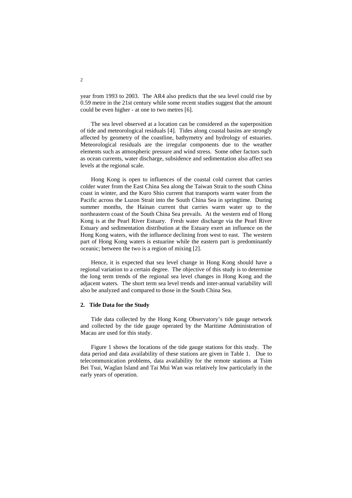year from 1993 to 2003. The AR4 also predicts that the sea level could rise by 0.59 metre in the 21st century while some recent studies suggest that the amount could be even higher - at one to two metres [6].

The sea level observed at a location can be considered as the superposition of tide and meteorological residuals [4]. Tides along coastal basins are strongly affected by geometry of the coastline, bathymetry and hydrology of estuaries. Meteorological residuals are the irregular components due to the weather elements such as atmospheric pressure and wind stress. Some other factors such as ocean currents, water discharge, subsidence and sedimentation also affect sea levels at the regional scale.

Hong Kong is open to influences of the coastal cold current that carries colder water from the East China Sea along the Taiwan Strait to the south China coast in winter, and the Kuro Shio current that transports warm water from the Pacific across the Luzon Strait into the South China Sea in springtime. During summer months, the Hainan current that carries warm water up to the northeastern coast of the South China Sea prevails. At the western end of Hong Kong is at the Pearl River Estuary. Fresh water discharge via the Pearl River Estuary and sedimentation distribution at the Estuary exert an influence on the Hong Kong waters, with the influence declining from west to east. The western part of Hong Kong waters is estuarine while the eastern part is predominantly oceanic; between the two is a region of mixing [2].

Hence, it is expected that sea level change in Hong Kong should have a regional variation to a certain degree. The objective of this study is to determine the long term trends of the regional sea level changes in Hong Kong and the adjacent waters. The short term sea level trends and inter-annual variability will also be analyzed and compared to those in the South China Sea.

#### **2. Tide Data for the Study**

Tide data collected by the Hong Kong Observatory's tide gauge network and collected by the tide gauge operated by the Maritime Administration of Macau are used for this study.

Figure 1 shows the locations of the tide gauge stations for this study. The data period and data availability of these stations are given in Table 1. Due to telecommunication problems, data availability for the remote stations at Tsim Bei Tsui, Waglan Island and Tai Mui Wan was relatively low particularly in the early years of operation.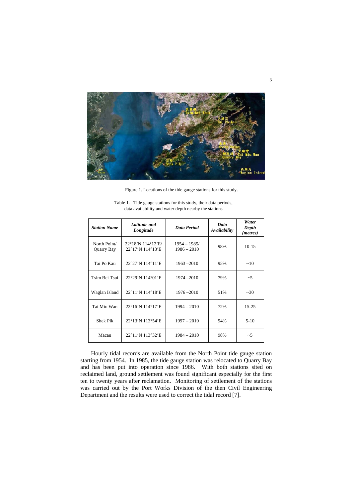

Figure 1. Locations of the tide gauge stations for this study.

| <b>Station Name</b>        | Latitude and<br>Longitude             | Data Period                     | Data<br>Availability | Water<br>Depth<br>( <i>metres</i> ) |
|----------------------------|---------------------------------------|---------------------------------|----------------------|-------------------------------------|
| North Point/<br>Quarry Bay | 22°18'N 114°12'E/<br>22°17'N 114°13'E | $1954 - 1985/$<br>$1986 - 2010$ | 98%                  | $10-15$                             |
| Tai Po Kau                 | 22°27'N 114°11'E                      | $1963 - 2010$                   | 95%                  | ~10                                 |
| Tsim Bei Tsui              | 22°29'N 114°01'E                      | 1974 - 2010                     | 79%                  | ~1                                  |
| Waglan Island              | 22°11'N 114°18'E                      | $1976 - 2010$                   | 51%                  | ~10                                 |
| Tai Miu Wan                | 22°16'N 114°17'E                      | $1994 - 2010$                   | 72%                  | $15 - 25$                           |
| Shek Pik                   | 22°13'N 113°54'E                      | $1997 - 2010$                   | 94%                  | $5 - 10$                            |
| Macau                      | 22°11'N 113°32'E                      | $1984 - 2010$                   | 98%                  | ~1                                  |

Table 1. Tide gauge stations for this study, their data periods, data availability and water depth nearby the stations

Hourly tidal records are available from the North Point tide gauge station starting from 1954. In 1985, the tide gauge station was relocated to Quarry Bay and has been put into operation since 1986. With both stations sited on reclaimed land, ground settlement was found significant especially for the first ten to twenty years after reclamation. Monitoring of settlement of the stations was carried out by the Port Works Division of the then Civil Engineering Department and the results were used to correct the tidal record [7].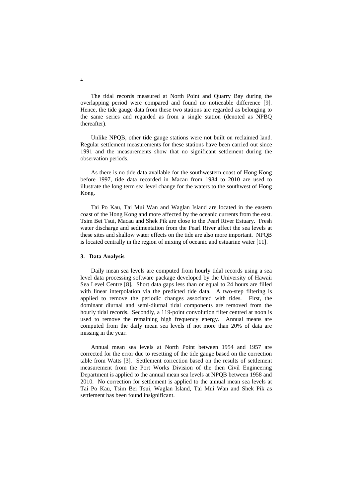The tidal records measured at North Point and Quarry Bay during the overlapping period were compared and found no noticeable difference [9]. Hence, the tide gauge data from these two stations are regarded as belonging to the same series and regarded as from a single station (denoted as NPBQ thereafter).

Unlike NPQB, other tide gauge stations were not built on reclaimed land. Regular settlement measurements for these stations have been carried out since 1991 and the measurements show that no significant settlement during the observation periods.

As there is no tide data available for the southwestern coast of Hong Kong before 1997, tide data recorded in Macau from 1984 to 2010 are used to illustrate the long term sea level change for the waters to the southwest of Hong Kong.

Tai Po Kau, Tai Mui Wan and Waglan Island are located in the eastern coast of the Hong Kong and more affected by the oceanic currents from the east. Tsim Bei Tsui, Macau and Shek Pik are close to the Pearl River Estuary. Fresh water discharge and sedimentation from the Pearl River affect the sea levels at these sites and shallow water effects on the tide are also more important. NPQB is located centrally in the region of mixing of oceanic and estuarine water [11].

#### **3. Data Analysis**

Daily mean sea levels are computed from hourly tidal records using a sea level data processing software package developed by the University of Hawaii Sea Level Centre [8]. Short data gaps less than or equal to 24 hours are filled with linear interpolation via the predicted tide data. A two-step filtering is applied to remove the periodic changes associated with tides. First, the dominant diurnal and semi-diurnal tidal components are removed from the hourly tidal records. Secondly, a 119-point convolution filter centred at noon is used to remove the remaining high frequency energy. Annual means are computed from the daily mean sea levels if not more than 20% of data are missing in the year.

Annual mean sea levels at North Point between 1954 and 1957 are corrected for the error due to resetting of the tide gauge based on the correction table from Watts [3]. Settlement correction based on the results of settlement measurement from the Port Works Division of the then Civil Engineering Department is applied to the annual mean sea levels at NPQB between 1958 and 2010. No correction for settlement is applied to the annual mean sea levels at Tai Po Kau, Tsim Bei Tsui, Waglan Island, Tai Mui Wan and Shek Pik as settlement has been found insignificant.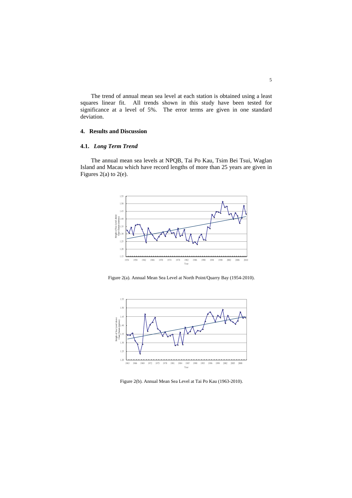The trend of annual mean sea level at each station is obtained using a least squares linear fit. All trends shown in this study have been tested for significance at a level of 5%. The error terms are given in one standard deviation.

## **4. Results and Discussion**

## **4.1.** *Long Term Trend*

The annual mean sea levels at NPQB, Tai Po Kau, Tsim Bei Tsui, Waglan Island and Macau which have record lengths of more than 25 years are given in Figures 2(a) to 2(e).



Figure 2(a). Annual Mean Sea Level at North Point/Quarry Bay (1954-2010).



Figure 2(b). Annual Mean Sea Level at Tai Po Kau (1963-2010).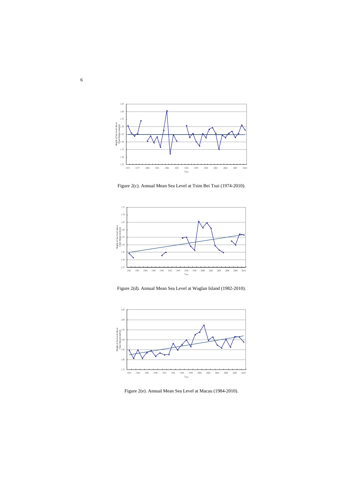

Figure 2(c). Annual Mean Sea Level at Tsim Bei Tsui (1974-2010).



Figure 2(d). Annual Mean Sea Level at Waglan Island (1982-2010).



Figure 2(e). Annual Mean Sea Level at Macau (1984-2010).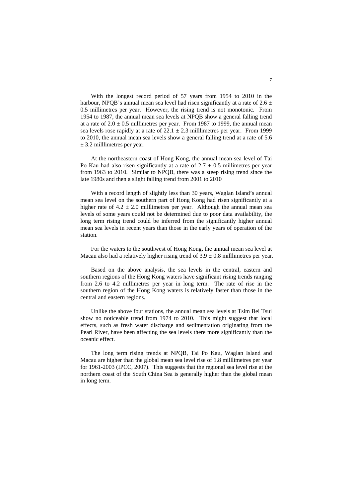With the longest record period of 57 years from 1954 to 2010 in the harbour, NPQB's annual mean sea level had risen significantly at a rate of  $2.6 \pm$ 0.5 millimetres per year. However, the rising trend is not monotonic. From 1954 to 1987, the annual mean sea levels at NPQB show a general falling trend at a rate of  $2.0 \pm 0.5$  millimetres per year. From 1987 to 1999, the annual mean sea levels rose rapidly at a rate of  $22.1 \pm 2.3$  milllimetres per year. From 1999 to 2010, the annual mean sea levels show a general falling trend at a rate of 5.6 ± 3.2 milllimetres per year.

At the northeastern coast of Hong Kong, the annual mean sea level of Tai Po Kau had also risen significantly at a rate of  $2.7 \pm 0.5$  millimetres per year from 1963 to 2010. Similar to NPQB, there was a steep rising trend since the late 1980s and then a slight falling trend from 2001 to 2010

With a record length of slightly less than 30 years, Waglan Island's annual mean sea level on the southern part of Hong Kong had risen significantly at a higher rate of  $4.2 \pm 2.0$  millimetres per year. Although the annual mean sea levels of some years could not be determined due to poor data availability, the long term rising trend could be inferred from the significantly higher annual mean sea levels in recent years than those in the early years of operation of the station.

For the waters to the southwest of Hong Kong, the annual mean sea level at Macau also had a relatively higher rising trend of  $3.9 \pm 0.8$  millimetres per year.

Based on the above analysis, the sea levels in the central, eastern and southern regions of the Hong Kong waters have significant rising trends ranging from 2.6 to 4.2 millimetres per year in long term. The rate of rise in the southern region of the Hong Kong waters is relatively faster than those in the central and eastern regions.

Unlike the above four stations, the annual mean sea levels at Tsim Bei Tsui show no noticeable trend from 1974 to 2010. This might suggest that local effects, such as fresh water discharge and sedimentation originating from the Pearl River, have been affecting the sea levels there more significantly than the oceanic effect.

The long term rising trends at NPQB, Tai Po Kau, Waglan Island and Macau are higher than the global mean sea level rise of 1.8 milllimetres per year for 1961-2003 (IPCC, 2007). This suggests that the regional sea level rise at the northern coast of the South China Sea is generally higher than the global mean in long term.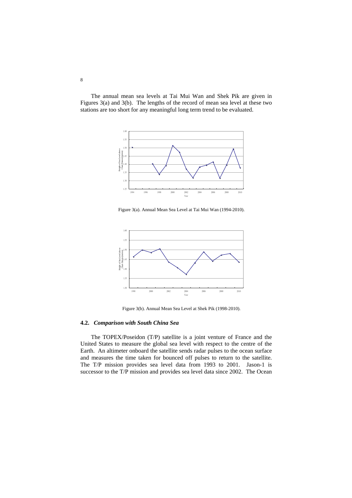The annual mean sea levels at Tai Mui Wan and Shek Pik are given in Figures 3(a) and 3(b). The lengths of the record of mean sea level at these two stations are too short for any meaningful long term trend to be evaluated.



Figure 3(a). Annual Mean Sea Level at Tai Mui Wan (1994-2010).



Figure 3(b). Annual Mean Sea Level at Shek Pik (1998-2010).

#### **4.2.** *Comparison with South China Sea*

The TOPEX/Poseidon (T/P) satellite is a joint venture of France and the United States to measure the global sea level with respect to the centre of the Earth. An altimeter onboard the satellite sends radar pulses to the ocean surface and measures the time taken for bounced off pulses to return to the satellite. The T/P mission provides sea level data from 1993 to 2001. Jason-1 is successor to the T/P mission and provides sea level data since 2002. The Ocean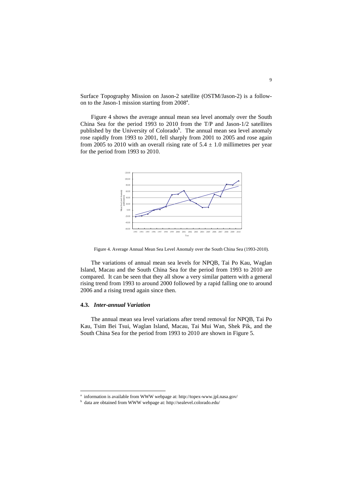Surface Topography Mission on Jason-2 satellite (OSTM/Jason-2) is a followon to the Jason-1 mission starting from 2008<sup>a</sup>.

Figure 4 shows the average annual mean sea level anomaly over the South China Sea for the period 1993 to 2010 from the T/P and Jason-1/2 satellites published by the University of Colorado<sup>b</sup>. The annual mean sea level anomaly rose rapidly from 1993 to 2001, fell sharply from 2001 to 2005 and rose again from 2005 to 2010 with an overall rising rate of  $5.4 \pm 1.0$  millimetres per year for the period from 1993 to 2010.



Figure 4. Average Annual Mean Sea Level Anomaly over the South China Sea (1993-2010).

The variations of annual mean sea levels for NPQB, Tai Po Kau, Waglan Island, Macau and the South China Sea for the period from 1993 to 2010 are compared. It can be seen that they all show a very similar pattern with a general rising trend from 1993 to around 2000 followed by a rapid falling one to around 2006 and a rising trend again since then.

#### **4.3.** *Inter-annual Variation*

-

The annual mean sea level variations after trend removal for NPQB, Tai Po Kau, Tsim Bei Tsui, Waglan Island, Macau, Tai Mui Wan, Shek Pik, and the South China Sea for the period from 1993 to 2010 are shown in Figure 5.

a information is available from WWW webpage at: http://topex-www.jpl.nasa.gov/ b

 $^{\rm b}\,$  data are obtained from WWW webpage at: http://sealevel.colorado.edu/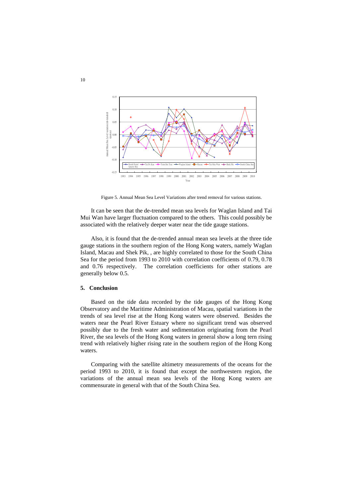

Figure 5. Annual Mean Sea Level Variations after trend removal for various stations.

It can be seen that the de-trended mean sea levels for Waglan Island and Tai Mui Wan have larger fluctuation compared to the others. This could possibly be associated with the relatively deeper water near the tide gauge stations.

Also, it is found that the de-trended annual mean sea levels at the three tide gauge stations in the southern region of the Hong Kong waters, namely Waglan Island, Macau and Shek Pik, , are highly correlated to those for the South China Sea for the period from 1993 to 2010 with correlation coefficients of 0.79, 0.78 and 0.76 respectively. The correlation coefficients for other stations are generally below 0.5.

#### **5. Conclusion**

Based on the tide data recorded by the tide gauges of the Hong Kong Observatory and the Maritime Administration of Macau, spatial variations in the trends of sea level rise at the Hong Kong waters were observed. Besides the waters near the Pearl River Estuary where no significant trend was observed possibly due to the fresh water and sedimentation originating from the Pearl River, the sea levels of the Hong Kong waters in general show a long tern rising trend with relatively higher rising rate in the southern region of the Hong Kong waters.

Comparing with the satellite altimetry measurements of the oceans for the period 1993 to 2010, it is found that except the northwestern region, the variations of the annual mean sea levels of the Hong Kong waters are commensurate in general with that of the South China Sea.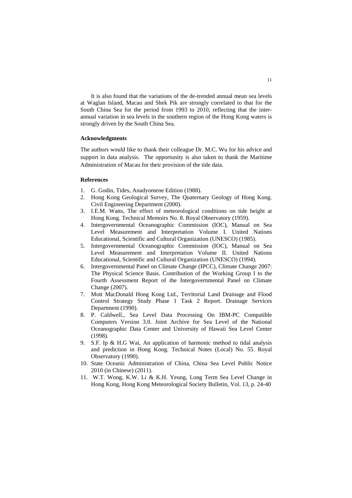It is also found that the variations of the de-trended annual mean sea levels at Waglan Island, Macau and Shek Pik are strongly correlated to that for the South China Sea for the period from 1993 to 2010, reflecting that the interannual variation in sea levels in the southern region of the Hong Kong waters is strongly driven by the South China Sea.

#### **Acknowledgments**

The authors would like to thank their colleague Dr. M.C. Wu for his advice and support in data analysis. The opportunity is also taken to thank the Maritime Administration of Macau for their provision of the tide data.

#### **References**

- 1. G. Godin, Tides, Anadyomene Edition (1988).
- 2. Hong Kong Geological Survey, The Quaternary Geology of Hong Kong. Civil Engineering Department (2000).
- 3. I.E.M. Watts, The effect of meteorological conditions on tide height at Hong Kong. Technical Memoirs No. 8. Royal Observatory (1959).
- 4. Intergovernmental Oceanographic Commission (IOC), Manual on Sea Level Measurement and Interpretation Volume I. United Nations Educational, Scientific and Cultural Organization (UNESCO) (1985).
- 5. Intergovernmental Oceanographic Commission (IOC), Manual on Sea Level Measurement and Interpretation Volume II. United Nations Educational, Scientific and Cultural Organization (UNESCO) (1994).
- 6. Intergovernmental Panel on Climate Change (IPCC), Climate Change 2007: The Physical Science Basis. Contribution of the Working Group I to the Fourth Assessment Report of the Intergovernmental Panel on Climate Change (2007).
- 7. Mott MacDonald Hong Kong Ltd., Territorial Land Drainage and Flood Control Strategy Study Phase 1 Task 2 Report. Drainage Services Department (1990).
- 8. P. Caldwell., Sea Level Data Processing On IBM-PC Compatible Computers Version 3.0. Joint Archive for Sea Level of the National Oceanographic Data Center and University of Hawaii Sea Level Center (1998).
- 9. S.F. Ip & H.G Wai, An application of harmonic method to tidal analysis and prediction in Hong Kong. Technical Notes (Local) No. 55. Royal Observatory (1990).
- 10. State Oceanic Administration of China, China Sea Level Public Notice 2010 (in Chinese) (2011).
- 11. W.T. Wong, K.W. Li & K.H. Yeung, Long Term Sea Level Change in Hong Kong, Hong Kong Meteorological Society Bulletin, Vol. 13, p. 24-40